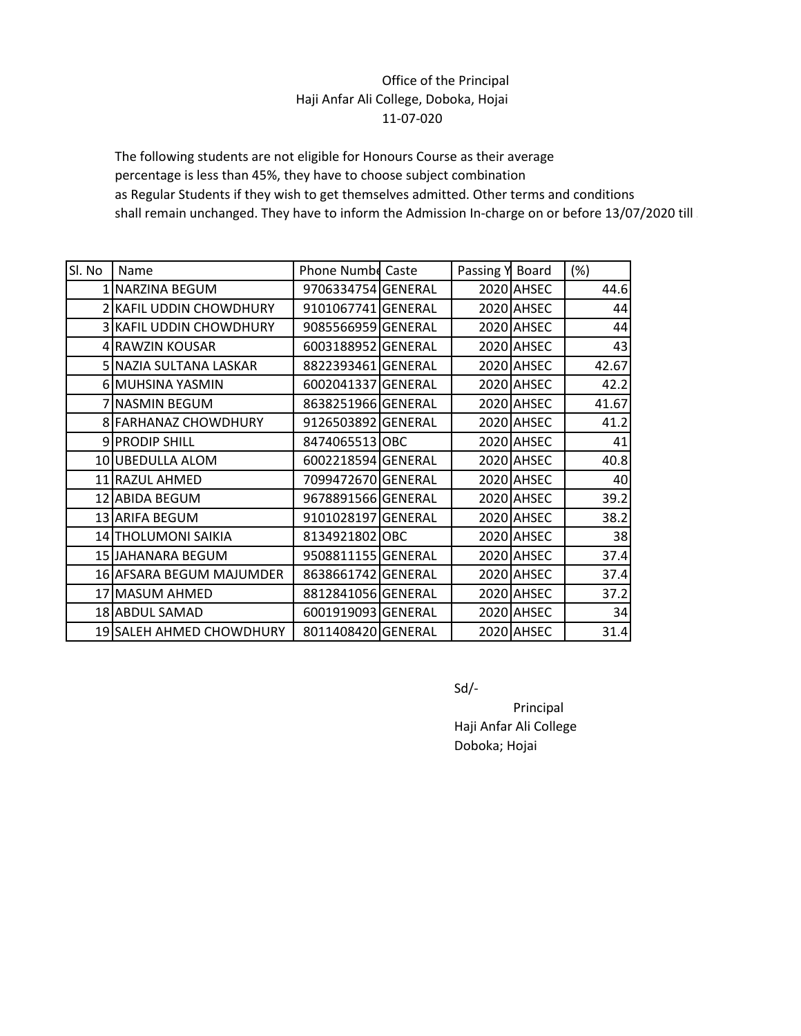## Office of the Principal Haji Anfar Ali College, Doboka, Hojai 11-07-020

The following students are not eligible for Honours Course as their average percentage is less than 45%, they have to choose subject combination as Regular Students if they wish to get themselves admitted. Other terms and conditions shall remain unchanged. They have to inform the Admission In-charge on or before 13/07/2020 till

| SI. No | Name                           | Phone Numbe Caste  | Passing Y | Board      | $(\%)$ |
|--------|--------------------------------|--------------------|-----------|------------|--------|
|        | 1 NARZINA BEGUM                | 9706334754 GENERAL |           | 2020 AHSEC | 44.6   |
|        | 2 KAFIL UDDIN CHOWDHURY        | 9101067741 GENERAL |           | 2020 AHSEC | 44     |
|        | <b>3 KAFIL UDDIN CHOWDHURY</b> | 9085566959 GENERAL |           | 2020 AHSEC | 44     |
|        | 4 RAWZIN KOUSAR                | 6003188952 GENERAL |           | 2020 AHSEC | 43     |
|        | 5 NAZIA SULTANA LASKAR         | 8822393461 GENERAL |           | 2020 AHSEC | 42.67  |
|        | 6 MUHSINA YASMIN               | 6002041337 GENERAL |           | 2020 AHSEC | 42.2   |
|        | 7 NASMIN BEGUM                 | 8638251966 GENERAL |           | 2020 AHSEC | 41.67  |
|        | 8 FARHANAZ CHOWDHURY           | 9126503892 GENERAL |           | 2020 AHSEC | 41.2   |
|        | 9 PRODIP SHILL                 | 8474065513 OBC     |           | 2020 AHSEC | 41     |
|        | 10 UBEDULLA ALOM               | 6002218594 GENERAL |           | 2020 AHSEC | 40.8   |
|        | 11 RAZUL AHMED                 | 7099472670 GENERAL |           | 2020 AHSEC | 40     |
|        | 12 ABIDA BEGUM                 | 9678891566 GENERAL |           | 2020 AHSEC | 39.2   |
|        | 13 ARIFA BEGUM                 | 9101028197 GENERAL |           | 2020 AHSEC | 38.2   |
|        | 14 THOLUMONI SAIKIA            | 8134921802 OBC     |           | 2020 AHSEC | 38     |
|        | 15 JAHANARA BEGUM              | 9508811155 GENERAL |           | 2020 AHSEC | 37.4   |
|        | 16 AFSARA BEGUM MAJUMDER       | 8638661742 GENERAL |           | 2020 AHSEC | 37.4   |
|        | 17 MASUM AHMED                 | 8812841056 GENERAL |           | 2020 AHSEC | 37.2   |
|        | 18 ABDUL SAMAD                 | 6001919093 GENERAL |           | 2020 AHSEC | 34     |
|        | 19 SALEH AHMED CHOWDHURY       | 8011408420 GENERAL |           | 2020 AHSEC | 31.4   |

Sd/-

Principal Haji Anfar Ali College Doboka; Hojai